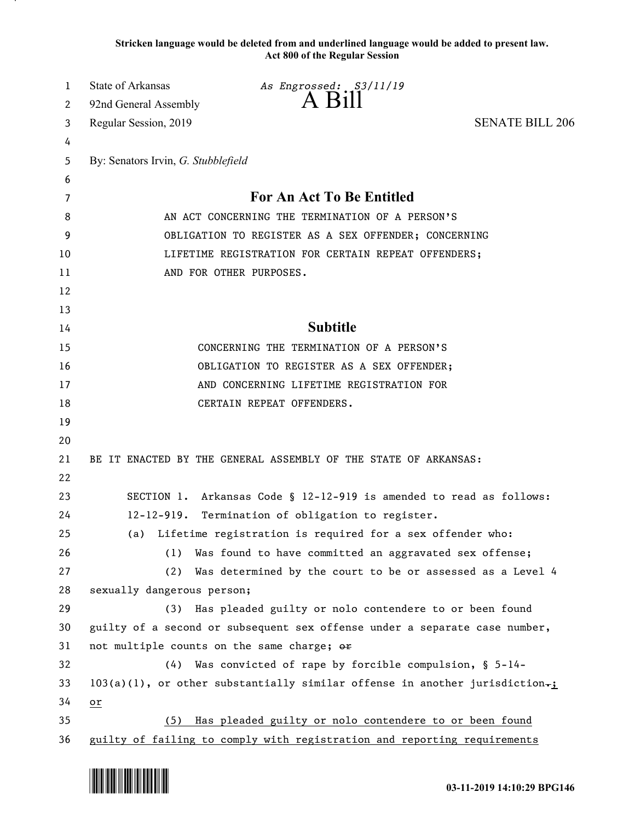**Stricken language would be deleted from and underlined language would be added to present law. Act 800 of the Regular Session**

| 1  | State of Arkansas                                    | As Engrossed: S3/11/19                                                         |                        |
|----|------------------------------------------------------|--------------------------------------------------------------------------------|------------------------|
| 2  | 92nd General Assembly                                | A Bill                                                                         |                        |
| 3  | Regular Session, 2019                                |                                                                                | <b>SENATE BILL 206</b> |
| 4  |                                                      |                                                                                |                        |
| 5  | By: Senators Irvin, G. Stubblefield                  |                                                                                |                        |
| 6  |                                                      |                                                                                |                        |
| 7  |                                                      | For An Act To Be Entitled                                                      |                        |
| 8  | AN ACT CONCERNING THE TERMINATION OF A PERSON'S      |                                                                                |                        |
| 9  | OBLIGATION TO REGISTER AS A SEX OFFENDER; CONCERNING |                                                                                |                        |
| 10 | LIFETIME REGISTRATION FOR CERTAIN REPEAT OFFENDERS;  |                                                                                |                        |
| 11 |                                                      | AND FOR OTHER PURPOSES.                                                        |                        |
| 12 |                                                      |                                                                                |                        |
| 13 |                                                      |                                                                                |                        |
| 14 |                                                      | <b>Subtitle</b>                                                                |                        |
| 15 |                                                      | CONCERNING THE TERMINATION OF A PERSON'S                                       |                        |
| 16 |                                                      | OBLIGATION TO REGISTER AS A SEX OFFENDER;                                      |                        |
| 17 |                                                      | AND CONCERNING LIFETIME REGISTRATION FOR                                       |                        |
| 18 |                                                      | CERTAIN REPEAT OFFENDERS.                                                      |                        |
| 19 |                                                      |                                                                                |                        |
| 20 |                                                      |                                                                                |                        |
| 21 |                                                      | BE IT ENACTED BY THE GENERAL ASSEMBLY OF THE STATE OF ARKANSAS:                |                        |
| 22 |                                                      |                                                                                |                        |
| 23 |                                                      | SECTION 1. Arkansas Code § 12-12-919 is amended to read as follows:            |                        |
| 24 |                                                      | 12-12-919. Termination of obligation to register.                              |                        |
| 25 |                                                      | (a) Lifetime registration is required for a sex offender who:                  |                        |
| 26 | (1)                                                  | Was found to have committed an aggravated sex offense;                         |                        |
| 27 | (2)                                                  | Was determined by the court to be or assessed as a Level 4                     |                        |
| 28 | sexually dangerous person;                           |                                                                                |                        |
| 29 | (3)                                                  | Has pleaded guilty or nolo contendere to or been found                         |                        |
| 30 |                                                      | guilty of a second or subsequent sex offense under a separate case number,     |                        |
| 31 | not multiple counts on the same charge; or           |                                                                                |                        |
| 32 | (4)                                                  | Was convicted of rape by forcible compulsion, § 5-14-                          |                        |
| 33 |                                                      | $103(a)(1)$ , or other substantially similar offense in another jurisdiction-j |                        |
| 34 | or                                                   |                                                                                |                        |
| 35 | (5)                                                  | Has pleaded guilty or nolo contendere to or been found                         |                        |
| 36 |                                                      | guilty of failing to comply with registration and reporting requirements       |                        |

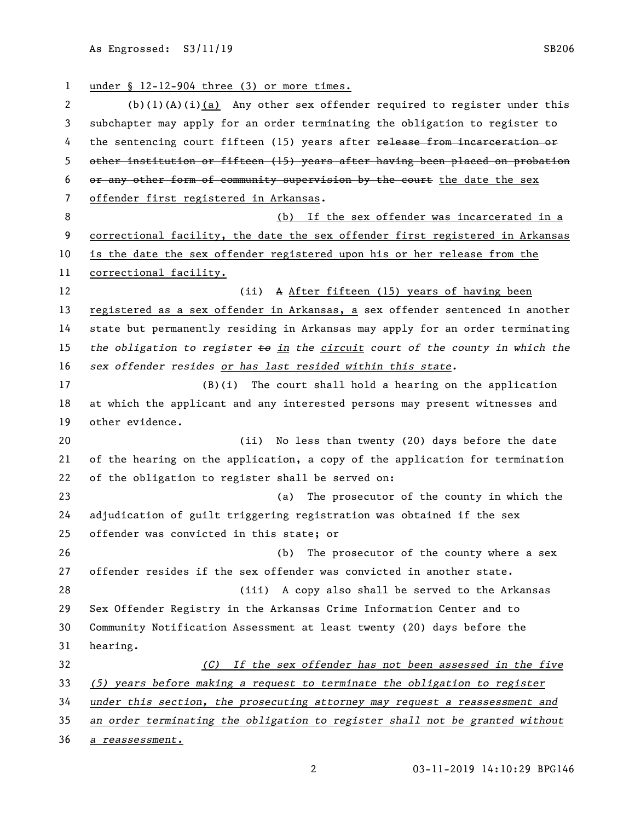| 1  | under § 12-12-904 three (3) or more times.                                              |  |  |
|----|-----------------------------------------------------------------------------------------|--|--|
| 2  | $(b)(1)(A)(i)(a)$ Any other sex offender required to register under this                |  |  |
| 3  | subchapter may apply for an order terminating the obligation to register to             |  |  |
| 4  | the sentencing court fifteen (15) years after release from incarceration or             |  |  |
| 5  | other institution or fifteen (15) years after having been placed on probation           |  |  |
| 6  | or any other form of community supervision by the court the date the sex                |  |  |
| 7  | offender first registered in Arkansas.                                                  |  |  |
| 8  | (b) If the sex offender was incarcerated in a                                           |  |  |
| 9  | correctional facility, the date the sex offender first registered in Arkansas           |  |  |
| 10 | is the date the sex offender registered upon his or her release from the                |  |  |
| 11 | correctional facility.                                                                  |  |  |
| 12 | A After fifteen (15) years of having been<br>(ii)                                       |  |  |
| 13 | registered as a sex offender in Arkansas, a sex offender sentenced in another           |  |  |
| 14 | state but permanently residing in Arkansas may apply for an order terminating           |  |  |
| 15 | the obligation to register $\pm \Theta$ in the circuit court of the county in which the |  |  |
| 16 | sex offender resides or has last resided within this state.                             |  |  |
| 17 | $(B)(i)$ The court shall hold a hearing on the application                              |  |  |
| 18 | at which the applicant and any interested persons may present witnesses and             |  |  |
| 19 | other evidence.                                                                         |  |  |
| 20 | (ii)<br>No less than twenty (20) days before the date                                   |  |  |
| 21 | of the hearing on the application, a copy of the application for termination            |  |  |
| 22 | of the obligation to register shall be served on:                                       |  |  |
| 23 | The prosecutor of the county in which the<br>(a)                                        |  |  |
| 24 | adjudication of guilt triggering registration was obtained if the sex                   |  |  |
| 25 | offender was convicted in this state; or                                                |  |  |
| 26 | The prosecutor of the county where a sex<br>(b)                                         |  |  |
| 27 | offender resides if the sex offender was convicted in another state.                    |  |  |
| 28 | (iii) A copy also shall be served to the Arkansas                                       |  |  |
| 29 | Sex Offender Registry in the Arkansas Crime Information Center and to                   |  |  |
| 30 | Community Notification Assessment at least twenty (20) days before the                  |  |  |
| 31 | hearing.                                                                                |  |  |
| 32 | (C) If the sex offender has not been assessed in the five                               |  |  |
| 33 | (5) years before making a request to terminate the obligation to register               |  |  |
| 34 | under this section, the prosecuting attorney may request a reassessment and             |  |  |
| 35 | an order terminating the obligation to register shall not be granted without            |  |  |
| 36 | <u>a reassessment.</u>                                                                  |  |  |